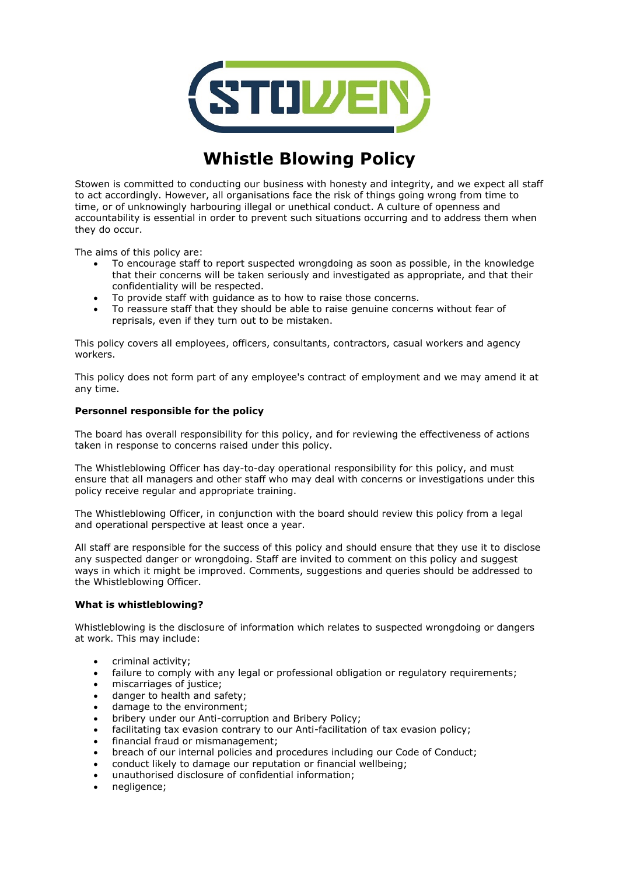

# **Whistle Blowing Policy**

Stowen is committed to conducting our business with honesty and integrity, and we expect all staff to act accordingly. However, all organisations face the risk of things going wrong from time to time, or of unknowingly harbouring illegal or unethical conduct. A culture of openness and accountability is essential in order to prevent such situations occurring and to address them when they do occur.

The aims of this policy are:

- To encourage staff to report suspected wrongdoing as soon as possible, in the knowledge that their concerns will be taken seriously and investigated as appropriate, and that their confidentiality will be respected.
- To provide staff with guidance as to how to raise those concerns.
- To reassure staff that they should be able to raise genuine concerns without fear of reprisals, even if they turn out to be mistaken.

This policy covers all employees, officers, consultants, contractors, casual workers and agency workers.

This policy does not form part of any employee's contract of employment and we may amend it at any time.

## **Personnel responsible for the policy**

The board has overall responsibility for this policy, and for reviewing the effectiveness of actions taken in response to concerns raised under this policy.

The Whistleblowing Officer has day-to-day operational responsibility for this policy, and must ensure that all managers and other staff who may deal with concerns or investigations under this policy receive regular and appropriate training.

The Whistleblowing Officer, in conjunction with the board should review this policy from a legal and operational perspective at least once a year.

All staff are responsible for the success of this policy and should ensure that they use it to disclose any suspected danger or wrongdoing. Staff are invited to comment on this policy and suggest ways in which it might be improved. Comments, suggestions and queries should be addressed to the Whistleblowing Officer.

## **What is whistleblowing?**

Whistleblowing is the disclosure of information which relates to suspected wrongdoing or dangers at work. This may include:

- criminal activity;
- failure to comply with any legal or professional obligation or regulatory requirements;
- miscarriages of justice;
- danger to health and safety;
- damage to the environment;
- bribery under our Anti-corruption and Bribery Policy;
- facilitating tax evasion contrary to our Anti-facilitation of tax evasion policy;
- financial fraud or mismanagement;
- breach of our internal policies and procedures including our Code of Conduct;
- conduct likely to damage our reputation or financial wellbeing;
- unauthorised disclosure of confidential information;
- negligence;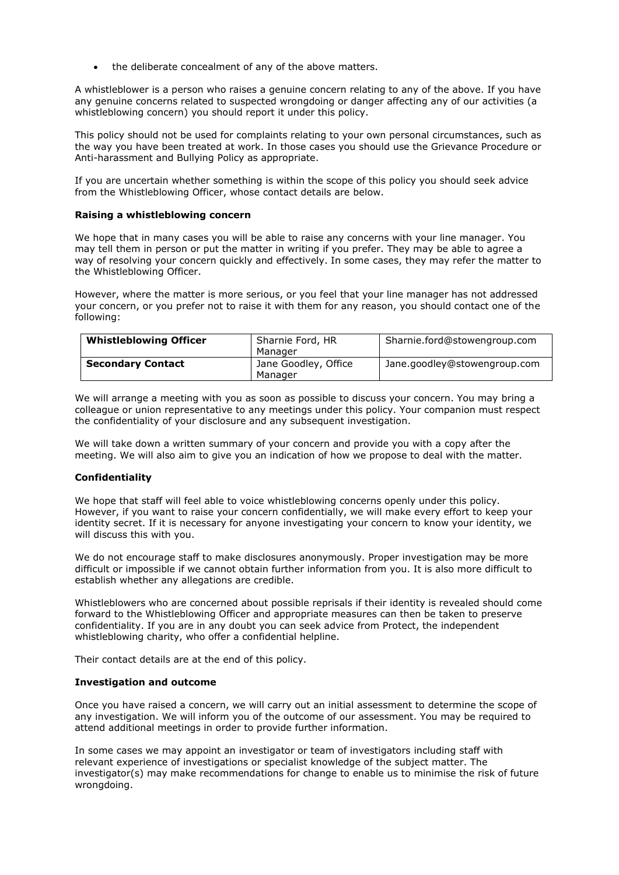the deliberate concealment of any of the above matters.

A whistleblower is a person who raises a genuine concern relating to any of the above. If you have any genuine concerns related to suspected wrongdoing or danger affecting any of our activities (a whistleblowing concern) you should report it under this policy.

This policy should not be used for complaints relating to your own personal circumstances, such as the way you have been treated at work. In those cases you should use the Grievance Procedure or Anti-harassment and Bullying Policy as appropriate.

If you are uncertain whether something is within the scope of this policy you should seek advice from the Whistleblowing Officer, whose contact details are below.

#### **Raising a whistleblowing concern**

We hope that in many cases you will be able to raise any concerns with your line manager. You may tell them in person or put the matter in writing if you prefer. They may be able to agree a way of resolving your concern quickly and effectively. In some cases, they may refer the matter to the Whistleblowing Officer.

However, where the matter is more serious, or you feel that your line manager has not addressed your concern, or you prefer not to raise it with them for any reason, you should contact one of the following:

| <b>Whistleblowing Officer</b> | Sharnie Ford, HR     | Sharnie.ford@stowengroup.com |
|-------------------------------|----------------------|------------------------------|
|                               | Manager              |                              |
| <b>Secondary Contact</b>      | Jane Goodley, Office | Jane.goodley@stowengroup.com |
|                               | Manager              |                              |

We will arrange a meeting with you as soon as possible to discuss your concern. You may bring a colleague or union representative to any meetings under this policy. Your companion must respect the confidentiality of your disclosure and any subsequent investigation.

We will take down a written summary of your concern and provide you with a copy after the meeting. We will also aim to give you an indication of how we propose to deal with the matter.

## **Confidentiality**

We hope that staff will feel able to voice whistleblowing concerns openly under this policy. However, if you want to raise your concern confidentially, we will make every effort to keep your identity secret. If it is necessary for anyone investigating your concern to know your identity, we will discuss this with you.

We do not encourage staff to make disclosures anonymously. Proper investigation may be more difficult or impossible if we cannot obtain further information from you. It is also more difficult to establish whether any allegations are credible.

Whistleblowers who are concerned about possible reprisals if their identity is revealed should come forward to the Whistleblowing Officer and appropriate measures can then be taken to preserve confidentiality. If you are in any doubt you can seek advice from Protect, the independent whistleblowing charity, who offer a confidential helpline.

Their contact details are at the end of this policy.

## **Investigation and outcome**

Once you have raised a concern, we will carry out an initial assessment to determine the scope of any investigation. We will inform you of the outcome of our assessment. You may be required to attend additional meetings in order to provide further information.

In some cases we may appoint an investigator or team of investigators including staff with relevant experience of investigations or specialist knowledge of the subject matter. The investigator(s) may make recommendations for change to enable us to minimise the risk of future wrongdoing.